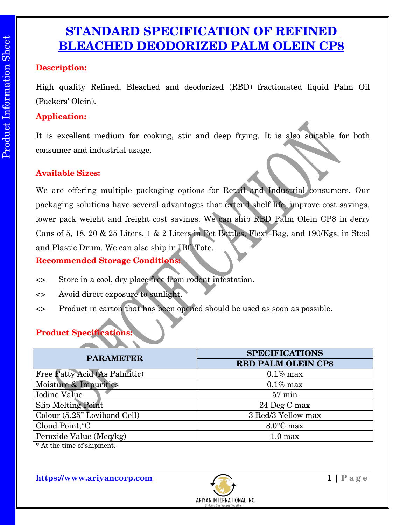## **STANDARD SPECIFICATION OF REFINED BLEACHED DEODORIZED PALM OLEIN CP8**

### **Description:**

High quality Refined, Bleached and deodorized (RBD) fractionated liquid Palm Oil (Packers' Olein).

## **Application:**

It is excellent medium for cooking, stir and deep frying. It is also suitable for both consumer and industrial usage.

## **Available Sizes:**

We are offering multiple packaging options for Retail and Industrial consumers. Our packaging solutions have several advantages that extend shelf life, improve cost savings, lower pack weight and freight cost savings. We can ship RBD Palm Olein CP8 in Jerry Cans of 5, 18, 20 & 25 Liters, 1 & 2 Liters in Pet Bottles, Flexi–Bag, and 190/Kgs. in Steel and Plastic Drum. We can also ship in IBC Tote.

**Recommended Storage Conditions:**

- <> Store in a cool, dry place free from rodent infestation.
- <> Avoid direct exposure to sunlight.
- <> Product in carton that has been opened should be used as soon as possible.

## **Product Specifications:**

| <b>PARAMETER</b>              | <b>SPECIFICATIONS</b>     |  |
|-------------------------------|---------------------------|--|
|                               | <b>RBD PALM OLEIN CP8</b> |  |
| Free Fatty Acid (As Palmitic) | $0.1\%$ max               |  |
| Moisture & Impurities         | $0.1\%$ max               |  |
| Iodine Value                  | $57 \text{ min}$          |  |
| <b>Slip Melting Point</b>     | 24 Deg C max              |  |
| Colour (5.25" Lovibond Cell)  | 3 Red/3 Yellow max        |  |
| Cloud Point, °C               | $8.0^{\circ}$ C max       |  |
| Peroxide Value (Meq/kg)       | 1.0 <sub>max</sub>        |  |

\* At the time of shipment.

**https://www.ariyancorp.com** 1 | P a g e